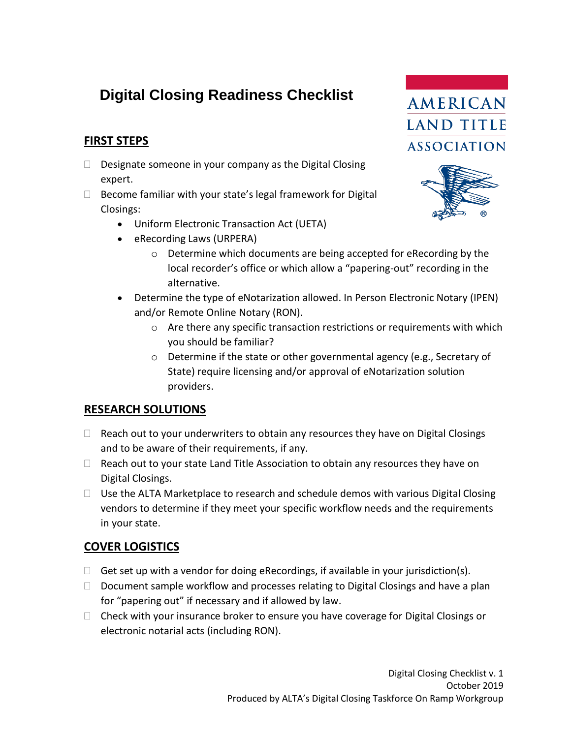# **Digital Closing Readiness Checklist**

# **FIRST STEPS**

- $\Box$  Designate someone in your company as the Digital Closing expert.
- $\Box$  Become familiar with your state's legal framework for Digital Closings:
	- Uniform Electronic Transaction Act (UETA)
	- eRecording Laws (URPERA)
		- o Determine which documents are being accepted for eRecording by the local recorder's office or which allow a "papering-out" recording in the alternative.
	- Determine the type of eNotarization allowed. In Person Electronic Notary (IPEN) and/or Remote Online Notary (RON).
		- o Are there any specific transaction restrictions or requirements with which you should be familiar?
		- o Determine if the state or other governmental agency (e.g., Secretary of State) require licensing and/or approval of eNotarization solution providers.

#### **RESEARCH SOLUTIONS**

- $\Box$  Reach out to your underwriters to obtain any resources they have on Digital Closings and to be aware of their requirements, if any.
- $\Box$  Reach out to your state Land Title Association to obtain any resources they have on Digital Closings.
- $\Box$  Use the ALTA Marketplace to research and schedule demos with various Digital Closing vendors to determine if they meet your specific workflow needs and the requirements in your state.

## **COVER LOGISTICS**

- $\Box$  Get set up with a vendor for doing eRecordings, if available in your jurisdiction(s).
- $\Box$  Document sample workflow and processes relating to Digital Closings and have a plan for "papering out" if necessary and if allowed by law.
- $\Box$  Check with your insurance broker to ensure you have coverage for Digital Closings or electronic notarial acts (including RON).



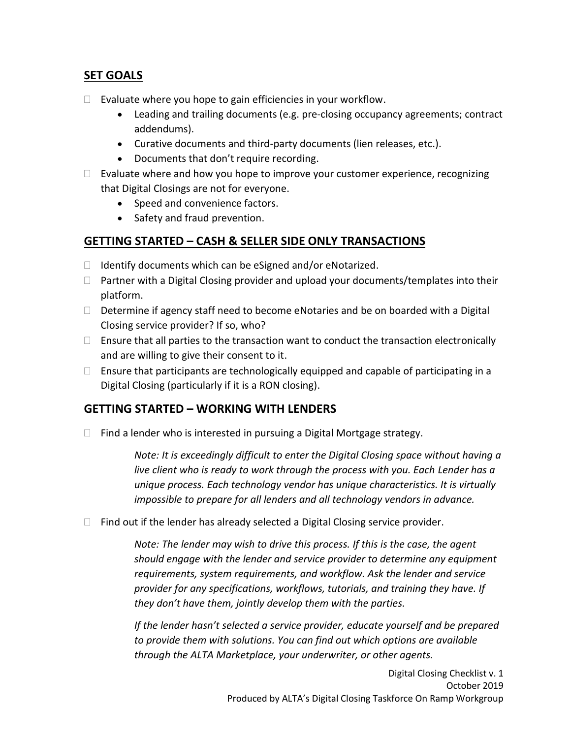# **SET GOALS**

- $\Box$  Evaluate where you hope to gain efficiencies in your workflow.
	- Leading and trailing documents (e.g. pre-closing occupancy agreements; contract addendums).
	- Curative documents and third-party documents (lien releases, etc.).
	- Documents that don't require recording.
- $\Box$  Evaluate where and how you hope to improve your customer experience, recognizing that Digital Closings are not for everyone.
	- Speed and convenience factors.
	- Safety and fraud prevention.

### **GETTING STARTED – CASH & SELLER SIDE ONLY TRANSACTIONS**

- $\Box$  Identify documents which can be eSigned and/or eNotarized.
- $\Box$  Partner with a Digital Closing provider and upload your documents/templates into their platform.
- $\Box$  Determine if agency staff need to become eNotaries and be on boarded with a Digital Closing service provider? If so, who?
- $\Box$  Ensure that all parties to the transaction want to conduct the transaction electronically and are willing to give their consent to it.
- $\Box$  Ensure that participants are technologically equipped and capable of participating in a Digital Closing (particularly if it is a RON closing).

#### **GETTING STARTED – WORKING WITH LENDERS**

 $\Box$  Find a lender who is interested in pursuing a Digital Mortgage strategy.

*Note: It is exceedingly difficult to enter the Digital Closing space without having a live client who is ready to work through the process with you. Each Lender has a unique process. Each technology vendor has unique characteristics. It is virtually impossible to prepare for all lenders and all technology vendors in advance.*

 $\Box$  Find out if the lender has already selected a Digital Closing service provider.

*Note: The lender may wish to drive this process. If this is the case, the agent should engage with the lender and service provider to determine any equipment requirements, system requirements, and workflow. Ask the lender and service provider for any specifications, workflows, tutorials, and training they have. If they don't have them, jointly develop them with the parties.*

*If the lender hasn't selected a service provider, educate yourself and be prepared to provide them with solutions. You can find out which options are available through the ALTA Marketplace, your underwriter, or other agents.*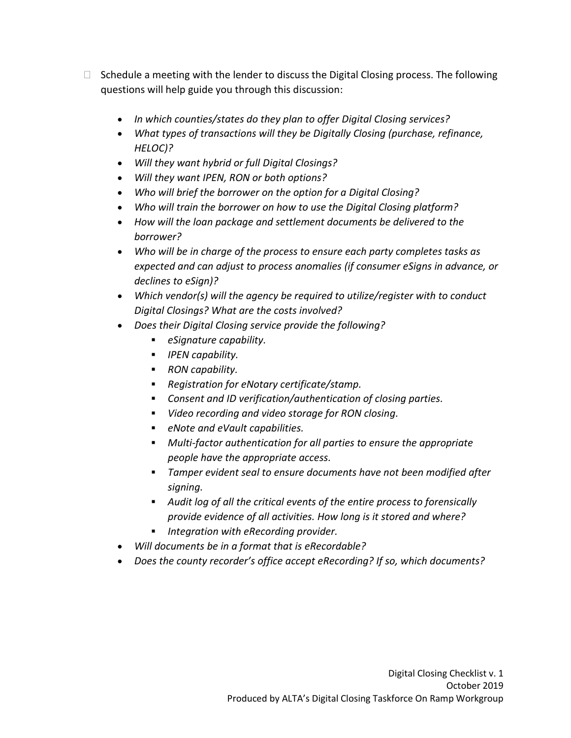- $\Box$  Schedule a meeting with the lender to discuss the Digital Closing process. The following questions will help guide you through this discussion:
	- *In which counties/states do they plan to offer Digital Closing services?*
	- *What types of transactions will they be Digitally Closing (purchase, refinance, HELOC)?*
	- *Will they want hybrid or full Digital Closings?*
	- *Will they want IPEN, RON or both options?*
	- *Who will brief the borrower on the option for a Digital Closing?*
	- *Who will train the borrower on how to use the Digital Closing platform?*
	- *How will the loan package and settlement documents be delivered to the borrower?*
	- *Who will be in charge of the process to ensure each party completes tasks as expected and can adjust to process anomalies (if consumer eSigns in advance, or declines to eSign)?*
	- *Which vendor(s) will the agency be required to utilize/register with to conduct Digital Closings? What are the costs involved?*
	- *Does their Digital Closing service provide the following?*
		- *eSignature capability.*
		- *IPEN capability.*
		- *RON capability.*
		- *Registration for eNotary certificate/stamp.*
		- *Consent and ID verification/authentication of closing parties.*
		- *Video recording and video storage for RON closing.*
		- *eNote and eVault capabilities.*
		- *Multi-factor authentication for all parties to ensure the appropriate people have the appropriate access.*
		- *Tamper evident seal to ensure documents have not been modified after signing.*
		- *Audit log of all the critical events of the entire process to forensically provide evidence of all activities. How long is it stored and where?*
		- *Integration with eRecording provider.*
	- *Will documents be in a format that is eRecordable?*
	- *Does the county recorder's office accept eRecording? If so, which documents?*